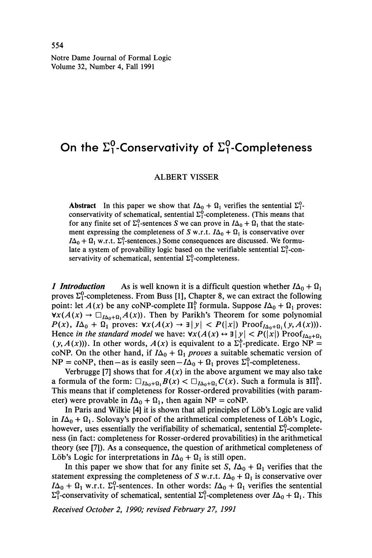Notre Dame Journal of Formal Logic Volume 32, Number 4, Fall 1991

# **On the Σ?-Conservαtivity of Σ?-Completeness**

## ALBERT VISSER

**Abstract** In this paper we show that  $I\Delta_0 + \Omega_1$  verifies the sentential  $\Sigma_1^0$ conservativity of schematical, sentential  $\Sigma_1^0$ -completeness. (This means that for any finite set of  $\Sigma_1^0$ -sentences S we can prove in  $I\Delta_0 + \Omega_1$  that the state ment expressing the completeness of *S* w.r.t.  $I\Delta_0 + \Omega_1$  is conservative over  $I\Delta_0 + \Omega_1$  w.r.t.  $\Sigma_1^0$ -sentences.) Some consequences are discussed. We formu late a system of provability logic based on the verifiable sentential  $\Sigma_1^0$ -conservativity of schematical, sentential  $\Sigma_1^0$ -completeness.

*1* Introduction As is well known it is a difficult question whether  $I\Delta_0 + \Omega_1$ proves  $\Sigma^0$ -completeness. From Buss [1], Chapter 8, we can extract the following point: let  $A(x)$  be any coNP-complete  $\Pi_1^b$  formula. Suppose  $I\Delta_0 + \Omega_1$  proves:  $\forall x(A(x) \rightarrow \Box_{I\Delta_0+\Omega_1}A(x))$ . Then by Parikh's Theorem for some polynomial  $P(x)$ ,  $I\Delta_0 + \Omega_1$  proves:  $\forall x(A(x) \rightarrow \exists |y| < P(|x|)$  Proof<sub> $I\Delta_0 + \Omega_1(y, A(x)))$ .</sub> Hence *in the standard model* we have:  $\forall x(A(x) \leftrightarrow \exists |y| < P(|x|)$  Proof  $\Delta_{A}$ <sub>14</sub>,  $(y, A(x))$ ). In other words,  $A(x)$  is equivalent to a  $\Sigma_1^b$ -predicate. Ergo NP = coNP. On the other hand, if  $I\Delta_0 + \Omega_1$  *proves* a suitable schematic version of  $NP = \text{coNP}$ , then – as is easily seen –  $I\Delta_0 + \Omega_1$  proves  $\Sigma_1^0$ -completeness.

Verbrugge [7] shows that for  $A(x)$  in the above argument we may also take a formula of the form:  $\Box_{I\Delta_0+\Omega_1}B(x) < \Box_{I\Delta_0+\Omega_1}C(x)$ . Such a formula is  $\exists \Pi_1^b$ . This means that if completeness for Rosser-ordered provabilities (with param eter) were provable in  $I\Delta_0 + \Omega_1$ , then again NP = coNP.

In Paris and Wilkie [4] it is shown that all principles of Löb's Logic are valid in  $I\Delta_0 + \Omega_1$ . Solovay's proof of the arithmetical completeness of Löb's Logic, however, uses essentially the verifiability of schematical, sentential  $\Sigma_1^0$ -completeness (in fact: completeness for Rosser-ordered provabilities) in the arithmetical theory (see [7]). As a consequence, the question of arithmetical completeness of Löb's Logic for interpretations in  $I\Delta_0 + \Omega_1$  is still open.

In this paper we show that for any finite set  $S$ ,  $I\Delta_0 + \Omega_1$  verifies that the statement expressing the completeness of *S* w.r.t.  $I\Delta_0 + \Omega_1$  is conservative over  $I\Delta_0 + \Omega_1$  w.r.t.  $\Sigma_1^0$ -sentences. In other words:  $I\Delta_0 + \Omega_1$  verifies the sentential  $\Sigma_1^0$ -conservativity of schematical, sentential  $\Sigma_1^0$ -completeness over  $I\Delta_0 + \Omega_1$ . This

*Received October 2, 1990; revised February 27, 1991*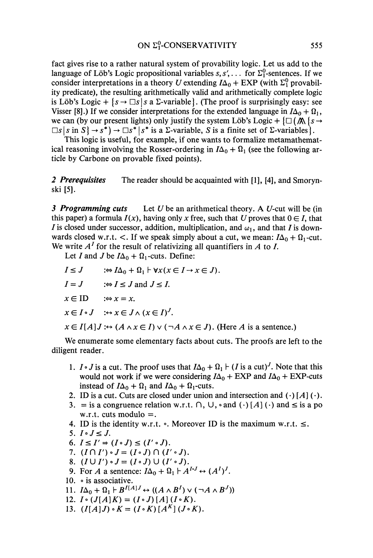fact gives rise to a rather natural system of provability logic. Let us add to the language of Löb's Logic propositional variables  $s, s', \ldots$  for  $\Sigma_1^0$ -sentences. If we consider interpretations in a theory U extending  $I\Delta_0 + EXP$  (with  $\Sigma_1^0$  provabil ity predicate), the resulting arithmetically valid and arithmetically complete logic is Löb's Logic +  $\{s \rightarrow \Box s | s \text{ a } \Sigma\text{-variable}\}\$ . (The proof is surprisingly easy: see Visser [8].) If we consider interpretations for the extended language in  $I\Delta_0 + \Omega_1$ , we can (by our present lights) only justify the system Löb's Logic +  $\{\Box (\Lambda \$ s  $\rightarrow$  $\Box s$  |*s* in *S*} → *s*<sup>\*</sup>) →  $\Box s^*$  |*s*<sup>\*</sup> is a Σ-variable, *S* is a finite set of Σ-variables).

This logic is useful, for example, if one wants to formalize metamathemat ical reasoning involving the Rosser-ordering in  $I\Delta_0 + \Omega_1$  (see the following ar ticle by Carbone on provable fixed points).

*2 Prerequisites* The reader should be acquainted with [1], [4], and Smoryn ski **[5].**

*3 Programming cuts* Let *U* be an arithmetical theory. A *U*-cut will be (in this paper) a formula  $I(x)$ , having only x free, such that U proves that  $0 \in I$ , that *I* is closed under successor, addition, multiplication, and  $\omega_1$ , and that *I* is downwards closed w.r.t. <. If we speak simply about a cut, we mean:  $I\Delta_0 + \Omega_1$ -cut. We write  $A<sup>I</sup>$  for the result of relativizing all quantifiers in  $A$  to  $I$ .

Let I and J be  $I\Delta_0 + \Omega_1$ -cuts. Define:

 $I \leq J$   $: \Leftrightarrow I\Delta_0 + \Omega_1 \vdash \forall x (x \in I \rightarrow x \in J).$ 

 $I = J$   $:\Leftrightarrow I \leq J$  and  $J \leq I$ .

 $x \in \text{ID}$   $\Rightarrow x = x.$ 

$$
x \in I \circ J \quad : \hookrightarrow x \in J \wedge (x \in I)^J.
$$

 $x \in I[A]$ *J* : $\leftrightarrow$   $(A \land x \in I) \lor (\neg A \land x \in J)$ . (Here *A* is a sentence.)

We enumerate some elementary facts about cuts. The proofs are left to the diligent reader.

- 1.  $I \circ J$  is a cut. The proof uses that  $I\Delta_0 + \Omega_1 \vdash (I \text{ is a cut})^J$ . Note that this would not work if we were considering  $I\Delta_0$  + EXP and  $I\Delta_0$  + EXP-cuts instead of  $I\Delta_0 + \Omega_1$  and  $I\Delta_0 + \Omega_1$ -cuts.
- 2. ID is a cut. Cuts are closed under union and intersection and  $(\cdot)$  [A]  $(\cdot)$ .
- 3. = is a congruence relation w.r.t.  $\cap$ ,  $\cup$ ,  $\circ$  and  $(\cdot)$   $[A]$   $(\cdot)$  and  $\leq$  is a po w.r.t. cuts modulo  $=$ .
- 4. ID is the identity w.r.t.  $\circ$ . Moreover ID is the maximum w.r.t.  $\leq$ .
- 5.  $I \circ J \leq J$ .
- 6.  $I \leq I' \Rightarrow (I \circ J) \leq (I' \circ J)$ .
- 7.  $(I \cap I') \cdot J = (I \cdot J) \cap (I' \cdot J).$
- 8.  $(I \cup I') \cdot J = (I \cdot J) \cup (I' \cdot J).$
- 9. For *A* a sentence:  $I\Delta_0 + \Omega_1 \nightharpoonup A^{I \cdot J} \leftrightarrow (A^I)^J$ .
- 10. o is associative.
- 11.  $I\Delta_0 + \Omega_1 \vdash B^{I[A]J} \leftrightarrow ((A \wedge B^I) \vee (\neg A \wedge B^J))$
- 12.  $I \circ (J[A]K) = (I \circ J)[A](I \circ K)$ .
- 13.  $(I[A]J) \cdot K = (I \cdot K) [A^K] (J \cdot K).$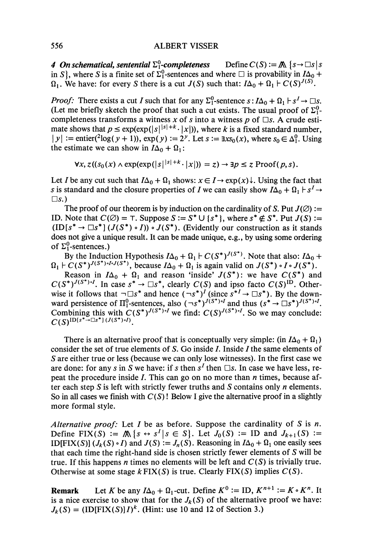## 556 ALBERT VISSER

*4 On schematical, sentential*  $\Sigma_1^0$ -completeness Define  $C(S) := M \{s \to \Box s \mid s$ in *S*}, where *S* is a finite set of  $\Sigma_1^0$ -sentences and where  $\square$  is provability in  $I\Delta_0 +$  $\Omega_1$ . We have: for every *S* there is a cut *J(S)* such that:  $I\Delta_0 + \Omega_1 + C(S)^{J(S)}$ .

*Proof:* There exists a cut *I* such that for any  $\Sigma_1^0$ -sentence  $s: I\Delta_0 + \Omega_1 \vdash s^1 \rightarrow \Box s$ . (Let me briefly sketch the proof that such a cut exists. The usual proof of  $\Sigma_1^0$ completeness transforms a witness *x* of *s* into a witness *p* of *Πs.* A crude esti mate shows that  $p \le \exp(\exp(|s|^{s+1} \cdot |x|))$ , where *k* is a fixed standard number,  $|y| := \text{entier}({}^{2}\log(y + 1)), \exp(y) := 2^{y}$ . Let  $s := \exists x s_0(x)$ , where  $s_0 \in \Delta_1^0$ . Using the estimate we can show in  $I\Delta_0 + \Omega_1$ :

$$
\forall x, z((s_0(x) \land \exp(\exp(|s| |s| + k \cdot |x|))) = z) \rightarrow \exists p \leq z \; \text{Proof}(p, s).
$$

Let *I* be any cut such that  $I\Delta_0 + \Omega_1$  shows:  $x \in I \rightarrow \exp(x) \downarrow$ . Using the fact that *s* is standard and the closure properties of *I* we can easily show  $I\Delta_0 + \Omega_1 \vdash s^I \rightarrow$ *Us.)*

The proof of our theorem is by induction on the cardinality of *S*. Put  $J(\emptyset)$ := ID. Note that  $C(\emptyset) = \top$ . Suppose  $S := S^* \cup \{s^*\}$ , where  $s^* \notin S^*$ . Put  $J(S) :=$  $(ID[s^* \rightarrow \Box s^*](J(S^*) \cdot I)) \cdot J(S^*)$ . (Evidently our construction as it stands does not give a unique result. It can be made unique, e.g., by using some ordering of  $\Sigma^0$ -sentences.)

By the Induction Hypothesis  $I\Delta_0 + \Omega_1 \vdash C(S^*)^{J(S^*)}$ . Note that also:  $I\Delta_0 +$  $j_1$   $\vdash$   $C(S^*)^{J(S^*) \cdot I \cdot J(S^*)}$ , because  $I\Delta_0 + \Omega_1$  is again valid on  $J(S^*) \cdot I \cdot J(S^*)$ .

Reason in  $I\Delta_0 + \Omega_1$  and reason 'inside'  $J(S^*)$ : we have  $C(S^*)$  and  $C(S^*)^{J(S^*) \tcdot I}$ . In case  $s^* \to \Box s^*$ , clearly  $C(S)$  and ipso facto  $C(S)^{ID}$ . Other wise it follows that  $\neg \Box s^*$  and hence  $(\neg s^*)^I$  (since  $s^{*I} \rightarrow \Box s^*$ ). By the down ward persistence of  $\Pi_1^0$ -sentences, also  $(\neg s^*)^{J(S^*) \circ I}$  and thus  $(s^* \to \Box s^*)^{J(S^*) \circ I}$ . Combining this with  $C(S^*)^{J(S^*) \circ I}$  we find:  $C(S)^{J(S^*) \circ I}$ . So we may conclude:  $C(S)^{\text{ID}[s^* \to \Box s^*](J(S^*) \cdot)}$ 

There is an alternative proof that is conceptually very simple: (in  $I\Delta_0 + \Omega_1$ ) consider the set of true elements of  $S$ . Go inside  $I$ . Inside  $I$  the same elements of *5* are either true or less (because we can only lose witnesses). In the first case we are done: for any *s* in *S* we have: if *s* then *s 1* then *Πs.* In case we have less, re peat the procedure inside 7. This can go on no more than *n* times, because af ter each step *S* is left with strictly fewer truths and *S* contains only *n* elements. So in all cases we finish with *C(S)*! Below I give the alternative proof in a slightly more formal style.

*Alternative proof:* Let 7 be as before. Suppose the cardinality of *S* is *n.* Define  $\text{FIX}(S) := \mathbb{A} \{ s \leftrightarrow s^I | s \in S \}$ . Let  $J_0(S) := \text{ID}$  and  $J_{k+1}(S) :=$ ID[FIX(S)]  $(J_k(S) \cdot I)$  and  $J(S) := J_n(S)$ . Reasoning in  $I\Delta_0 + \Omega_1$  one easily sees that each time the right-hand side is chosen strictly fewer elements of  $S$  will be true. If this happens *n* times no elements will be left and *C(S)* is trivially true. Otherwise at some stage  $k$  FIX(S) is true. Clearly FIX(S) implies  $C(S)$ .

**Remark** Let *K* be any  $I\Delta_0 + \Omega_1$ -cut. Define  $K^0 := ID$ ,  $K^{n+1} := K \circ K^n$ . It is a nice exercise to show that for the  $J_k(S)$  of the alternative proof we have:  $J_k(S) = (ID[FIN(S)]I)^k$ . (Hint: use 10 and 12 of Section 3.)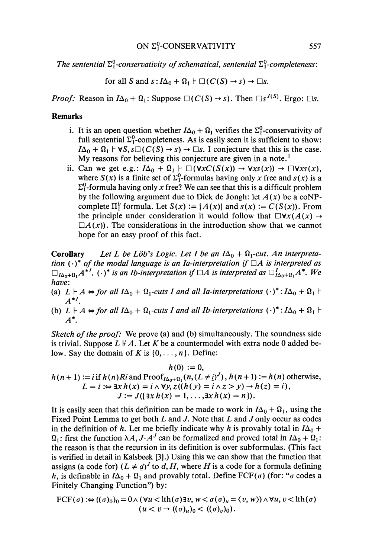*The sentential*  $\Sigma^0$ -conservativity of schematical, sentential  $\Sigma^0$ -completeness:

for all S and  $s: I\Delta_0 + \Omega_1 \vdash \square(C(S) \rightarrow s) \rightarrow \square s$ .

*Proof:* Reason in  $I\Delta_0 + \Omega_1$ : Suppose  $\Box(C(S) \rightarrow s)$ . Then  $\Box s^{J(S)}$ . Ergo:  $\Box s$ .

## **Remarks**

- i. It is an open question whether  $I\Delta_0 + \Omega_1$  verifies the  $\Sigma_1^0$ -conservativity of full sentential  $\Sigma_1^0$ -completeness. As is easily seen it is sufficient to show:  $I\Delta_0 + \Omega_1 \vdash \forall S, s \square (C(S) \rightarrow s) \rightarrow \square s$ . I conjecture that this is the case. My reasons for believing this conjecture are given in a note.<sup>1</sup>
- ii. Can we get e.g.:  $I\Delta_0 + \Omega_1 \vdash \square(\forall x C(S(x)) \rightarrow \forall x s(x)) \rightarrow \square \forall x s(x)$ , where  $S(x)$  is a finite set of  $\Sigma_1^0$ -formulas having only x free and  $S(x)$  is a  $\Sigma_1^0$ -formula having only x free? We can see that this is a difficult problem by the following argument due to Dick de Jongh: let  $A(x)$  be a coNPcomplete  $\Pi_1^b$  formula. Let  $S(x) := \{A(x)\}\$  and  $s(x) := C(S(x))$ . From the principle under consideration it would follow that  $\Box \forall x(A(x) \rightarrow$  $\Box A(x)$ ). The considerations in the introduction show that we cannot hope for an easy proof of this fact.

**Corollary** Let L be Löb's Logic. Let I be an  $I\Delta_0 + \Omega_1$ -cut. An interpreta*tion*  $(\cdot)^*$  *of the modal language is an Ia-interpretation if*  $\Box A$  *is interpreted as*  $\Box_{I\Delta_0+\Omega_1} A^{*I}$ .  $(\cdot)^*$  *is an Ib-interpretation if*  $\Box A$  *is interpreted as*  $\Box_{I\Delta_0+\Omega_1}^I A^*$ . We *have:*

- (a)  $L \vdash A \Leftrightarrow$  *for all*  $I\Delta_0 + \Omega_1$ -cuts *I and all Ia-interpretations*  $(\cdot)^* : I\Delta_0 + \Omega_1 \vdash$ *A\*<sup>1</sup> .*
- (b)  $L \vdash A \Leftrightarrow$  for all  $I\Delta_0 + \Omega_1$ -cuts I and all Ib-interpretations  $(\cdot)^* : I\Delta_0 + \Omega_1 \vdash$ *A\*.*

*Sketch of the proof:* We prove (a) and (b) simultaneously. The soundness side is trivial. Suppose  $L \nvdash A$ . Let K be a countermodel with extra node 0 added below. Say the domain of K is  $\{0, \ldots, n\}$ . Define:

$$
h(0) := 0,
$$
  
\n
$$
h(n+1) := i \text{ if } h(n) Ri \text{ and } \text{Proof}_{I\Delta_0 + \Omega_1}(n, (L \neq i)^J), h(n+1) := h(n) \text{ otherwise,}
$$
  
\n
$$
L = i := \exists x h(x) = i \land \forall y, z((h(y) = i \land z) = y) \rightarrow h(z) = i),
$$
  
\n
$$
J := J(\{\exists x h(x) = 1, ..., \exists x h(x) = n\}).
$$

It is easily seen that this definition can be made to work in  $I\Delta_0 + \Omega_1$ , using the Fixed Point Lemma to get both *L* and *J*. Note that *L* and *J* only occur as codes in the definition of h. Let me briefly indicate why h is provably total in  $I\Delta_0$  +  $\Omega_1$ : first the function  $\lambda A$ ,  $J \cdot A^J$  can be formalized and proved total in  $I\Delta_0 + \Omega_1$ : the reason is that the recursion in its definition is over subformulas. (This fact is verified in detail in Kalsbeek [3].) Using this we can show that the function that assigns (a code for)  $(L \neq d)^J$  to d, H, where H is a code for a formula defining h, is definable in  $I\Delta_0 + \Omega_1$  and provably total. Define FCF( $\sigma$ ) (for: " $\sigma$  codes a Finitely Changing Function") by:

$$
\text{FCF}(\sigma) := ((\sigma)_0)_0 = 0 \land (\forall u < \text{lth}(\sigma) \exists v, w < \sigma(\sigma)_u = \langle v, w \rangle) \land \forall u, v < \text{lth}(\sigma) (u < v \rightarrow ((\sigma)_u)_0 < ((\sigma)_v)_0).
$$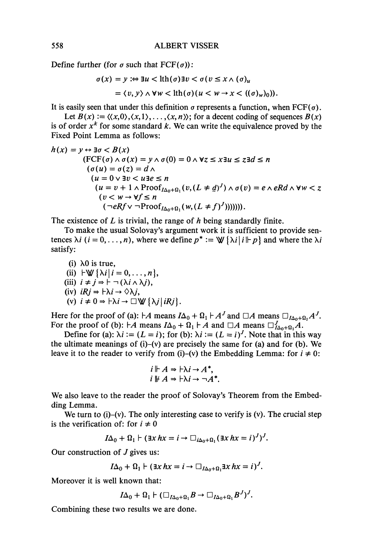**Define further (for** *σ such that FCF(σ)):*

$$
\sigma(x) = y := \exists u < \text{lth}(\sigma) \exists v < \sigma (v \le x \land (\sigma)_u
$$
\n
$$
= \langle v, y \rangle \land \forall w < \text{lth}(\sigma) (u < w \to x < ((\sigma)_w)_0)).
$$

It is easily seen that under this definition  $\sigma$  represents a function, when FCF( $\sigma$ ).

Let  $B(x) := \langle \langle x, 0 \rangle, \langle x, 1 \rangle, \ldots, \langle x, n \rangle \rangle$ ; for a decent coding of sequences  $B(x)$ **is of order** *x k*  **for some standard** *k.* **We can write the equivalence proved by the Fixed Point Lemma as follows:**

$$
h(x) = y \leftrightarrow \exists \sigma < B(x)
$$
\n
$$
(\text{FCF}(\sigma) \land \sigma(x)) = y \land \sigma(0) = 0 \land \forall z \le x \exists u \le z \exists d \le n
$$
\n
$$
(\sigma(u) = \sigma(z) = d \land
$$
\n
$$
(u = 0 \lor \exists v < u \exists e \le n
$$
\n
$$
(u = v + 1 \land \text{Proof}_{I\Delta_0 + \Omega_1}(v, (L \neq d)^J) \land \sigma(v) = e \land eRd \land \forall w < z
$$
\n
$$
(v < w \to \forall f \le n
$$
\n
$$
(\neg eRf \lor \neg \text{Proof}_{I\Delta_0 + \Omega_1}(w, (L \ne f)^J))))).
$$

**The existence of** *L* **is trivial, the range of** *h* **being standardly finite.**

**To make the usual Solovay's argument work it is sufficient to provide sen tences**  $\lambda i$  ( $i = 0, \ldots, n$ ), where we define  $p^* := \mathbb{V} \{\lambda i | i \mid p\}$  and where the  $\lambda i$ **satisfy:**

(i) 
$$
\lambda 0
$$
 is true,  
\n(ii)  $|\forall \{ \lambda i | i = 0, ..., n \},$   
\n(iii)  $i \neq j \Rightarrow |\neg (\lambda i \land \lambda j),$   
\n(iv)  $iRj \Rightarrow \forall \lambda i \rightarrow \Diamond \lambda j,$   
\n(v)  $i \neq 0 \Rightarrow \forall \lambda i \rightarrow \Box \forall \{ \lambda j | iRj \}.$ 

**Here for the proof of (a):**  $\vdash A$  means  $I\Delta_0 + \Omega_1 \vdash A^J$  and  $\Box A$  means  $\Box_{I\Delta_0 + \Omega_1} A^J$ . **For the proof of (b):**  $\nvdash A$  means  $I\Delta_0 + \Omega_1 \vdash A$  and  $\Box A$  means  $\Box_{I\Delta_0 + \Omega_1}^J A$ .

Define for (a):  $\lambda i := (L = i)$ ; for (b):  $\lambda i := (L = i)^J$ . Note that in this way **the ultimate meanings of (i)-(v) are precisely the same for (a) and for (b). We leave it to the reader to verify from (i)–(v) the Embedding Lemma: for**  $i \neq 0$ **:** 

$$
i \Vdash A \Rightarrow \vdash \lambda i \rightarrow A^*,
$$
  

$$
i \Vdash A \Rightarrow \vdash \lambda i \rightarrow \neg A^*.
$$

**We also leave to the reader the proof of Solovay's Theorem from the Embed ding Lemma.**

**We turn to (i)-(v). The only interesting case to verify is (v). The crucial step** is the verification of: for  $i \neq 0$ 

$$
I\Delta_0 + \Omega_1 \vdash (\exists x \, hx = i \rightarrow \Box_{i\Delta_0 + \Omega_1} (\exists x \, hx = i)^J)^J.
$$

**Our construction of** *J* **gives us:**

$$
I\Delta_0 + \Omega_1 \vdash (\exists x \, hx = i \rightarrow \Box_{I\Delta_0 + \Omega_1} \exists x \, hx = i)^J.
$$

**Moreover it is well known that:**

 $I\Delta_0 + \Omega_1 \vdash (\Box_{I\Delta_0 + \Omega_1} B \rightarrow \Box_{I\Delta_0 + \Omega_1} B')'.$ 

**Combining these two results we are done.**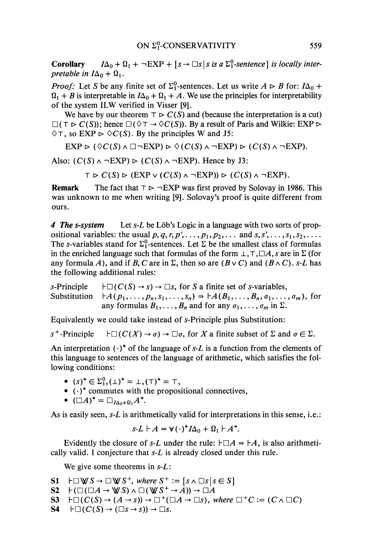**Corollary**  $I\Delta_0 + \Omega_1 + \neg EXP + \{s \rightarrow \Box s \mid s \text{ is a } \Sigma_1^0 \text{-sentence} \}$  is locally inter*pretable in*  $I\Delta_0 + \Omega_1$ .

*Proof:* Let *S* be any finite set of  $\Sigma_1^0$ -sentences. Let us write  $A \triangleright B$  for:  $I\Delta_0 +$  $I_1 + B$  is interpretable in  $I\Delta_0 + \Omega_1 + A$ . We use the principles for interpretability of the system ILW verified in Visser [9].

We have by our theorem  $\top \triangleright C(S)$  and (because the interpretation is a cut)  $\square(\top \triangleright C(S))$ ; hence  $\square(\lozenge \top \rightarrow \lozenge C(S))$ . By a result of Paris and Wilkie: EXP  $\rhd$  $\Diamond$ T, so EXP  $\Diamond$   $\Diamond$ C(S). By the principles W and J5:

 $EXP \rhd (\Diamond C(S) \wedge \Box \neg EXP) \rhd \Diamond (C(S) \wedge \neg EXP) \rhd (C(S) \wedge \neg EXP).$ 

Also:  $(C(S) \wedge \neg EXP) \triangleright (C(S) \wedge \neg EXP)$ . Hence by J3:

 $T \triangleright C(S) \triangleright (EXP \vee (C(S) \wedge \neg EXP)) \triangleright (C(S) \wedge \neg EXP).$ 

**Remark** The fact that  $T \rhd \neg EXP$  was first proved by Solovay in 1986. This was unknown to me when writing [9]. Solovay's proof is quite different from ours.

*4 The s-system* Let *s-L* be Lob's Logic in a language with two sorts of prop ositional variables: the usual  $p, q, r, p', \ldots, p_1, p_2, \ldots$  and  $s, s', \ldots, s_1, s_2, \ldots$ The *s*-variables stand for  $\Sigma_1^0$ -sentences. Let  $\Sigma$  be the smallest class of formulas in the enriched language such that formulas of the form \_L, T, *ΠA*, *s* are in *Σ* (for any formula *A*), and if *B*, *C* are in  $\Sigma$ , then so are  $(B \vee C)$  and  $(B \wedge C)$ . s-*L* has the following additional rules:

 $s$ -Principle  $\models \Box(C(S) \rightarrow s) \rightarrow \Box s$ , for *S* a finite set of *s*-variables,  $Substitution$  $A_1, \ldots, B_n, s_1, \ldots, s_n) \Rightarrow \vdash A(B_1, \ldots, B_n, \sigma_1, \ldots, \sigma_m)$ , for any formulas  $B_1, \ldots, B_n$  and for any  $\sigma_1, \ldots, \sigma_m$  in  $\Sigma$ .

Equivalently we could take instead of s-Principle plus Substitution:

 $s^+$  $\dashb\Box(C(X) \rightarrow \sigma) \rightarrow \Box \sigma$ , for *X* a finite subset of  $\Sigma$  and  $\sigma \in \Sigma$ .

An interpretation  $(\cdot)^*$  of the language of s-L is a function from the elements of this language to sentences of the language of arithmetic, which satisfies the fol lowing conditions:

- $(s)^* \in \Sigma_1^0, (\perp)^* = \perp, (\top)^* = \top,$
- $\bullet$  ( $\cdot$ )\* commutes with the propositional connectives,
- $(\Box A)^* = \Box_{I\Delta_0 + \Omega_1} A^*.$

As is easily seen, *s-L* is arithmetically valid for interpretations in this sense, i.e.:

$$
s\text{-}L \vdash A \Rightarrow \mathbf{V}(\cdot)^* I\Delta_0 + \Omega_1 \vdash A^*.
$$

Evidently the closure of *s-L* under the rule:  $\vdash \Box A \Rightarrow \vdash A$ , is also arithmetically valid. I conjecture that *s-L* is already closed under this rule.

We give some theorems in *s-L:*

- $S1$   $\vdash \Box \forall \forall S \rightarrow \Box \forall S^+$ *, where*  $S^+ := \{s \land \Box s \mid s \in S\}$
- $\mathbf{S2} \quad \vdash (\Box(\Box A \rightarrow \mathbb{W} \ S) \land \Box(\mathbb{W} \ S^+ \rightarrow A)) \rightarrow \Box A$
- $S3 \vdash \Box(C(S) \rightarrow (A \rightarrow s)) \rightarrow \Box^+(\Box A \rightarrow \Box s)$ , where  $\Box^+C \coloneqq (C \land \Box C)$
- **54**  $\vdash\Box(C(S)\rightarrow(\Box s\rightarrow s))\rightarrow\Box s$ .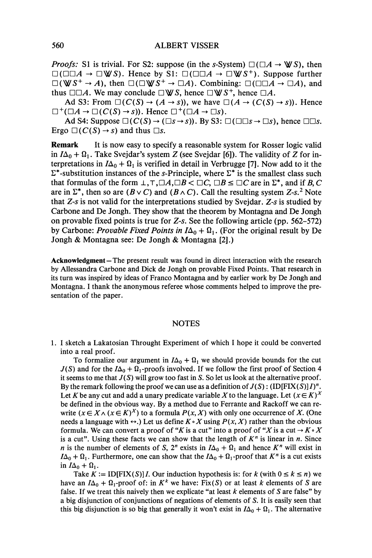*Proofs:* S1 is trivial. For S2: suppose (in the s-System)  $\square (\square A \rightarrow \mathbb{W}S)$ , then *Ώ(ΠΏA* - DWS). Hence by SI: **D(DD ^** - **DWS <sup>+</sup> ) .** Suppose further  $\square$ (WS<sup>+</sup>  $\rightarrow$  A), then  $\square$ ( $\square$ WS<sup>+</sup>  $\rightarrow$   $\square A$ ). Combining:  $\square$ ( $\square\square A$   $\rightarrow$   $\square A$ ), and thus  $\square\square A$ . We may conclude  $\square \blacktriangledown S$ , hence  $\square \blacktriangledown S^+$ , hence  $\square A$ .

Ad S3: From  $\square(C(S) \rightarrow (A \rightarrow s))$ , we have  $\square(A \rightarrow (C(S) \rightarrow s))$ . Hence  $\square^+(\square A \rightarrow \square (C(S) \rightarrow s))$ . Hence  $\square^+(\square A \rightarrow \square s)$ .

Ad S4: Suppose  $\square(C(S) \rightarrow (\square s \rightarrow s))$ . By S3:  $\square(\square \square s \rightarrow \square s)$ , hence  $\square \square s$ . Ergo  $\square(C(S) \rightarrow s)$  and thus  $\square s$ .

**Remark** It is now easy to specify a reasonable system for Rosser logic valid in  $I\Delta_0 + \Omega_1$ . Take Svejdar's system Z (see Svejdar [6]). The validity of Z for in terpretations in  $I\Delta_0 + \Omega_1$  is verified in detail in Verbrugge [7]. Now add to it the  $\Sigma^*$ -substitution instances of the s-Principle, where  $\Sigma^*$  is the smallest class such that formulas of the form  $\bot$ *,* $\top$ *,* $\Box A$ *,* $\Box B$   $\subset \Box C$ *,*  $\Box B \leq \Box C$  are in  $\Sigma^*$ *,* and if *B, C* are in  $\Sigma^*$ , then so are  $(B \vee C)$  and  $(B \wedge C)$ . Call the resulting system Z-s.<sup>2</sup> Note that *Z-s* is not valid for the interpretations studied by Svejdar. *Z-s* is studied by Carbone and De Jongh. They show that the theorem by Montagna and De Jongh on provable fixed points is true for *Z-s.* See the following article (pp. 562-572) by Carbone: *Provable Fixed Points in*  $I\Delta_0 + \Omega_1$ . (For the original result by De Jongh & Montagna see: De Jongh & Montagna [2].)

**Acknowledgment—**The present result was found in direct interaction with the research by Allessandra Carbone and Dick de Jongh on provable Fixed Points. That research in its turn was inspired by ideas of Franco Montagna and by earlier work by De Jongh and Montagna. I thank the anonymous referee whose comments helped to improve the pre sentation of the paper.

#### **NOTES**

1. I sketch a Lakatosian Throught Experiment of which I hope it could be converted into a real proof.

To formalize our argument in  $I\Delta_0 + \Omega_1$  we should provide bounds for the cut  $J(S)$  and for the  $I\Delta_0 + \Omega_1$ -proofs involved. If we follow the first proof of Section 4 it seems to me that  $J(S)$  will grow too fast in S. So let us look at the alternative proof. By the remark following the proof we can use as a definition of  $J(S)$ : (ID[FIX(S)] $I$ <sup>*n*</sup>. Let K be any cut and add a unary predicate variable X to the language. Let  $(x \in K)^X$ be defined in the obvious way. By a method due to Ferrante and Rackoff we can rewrite  $(x \in X \wedge (x \in K)^X)$  to a formula  $P(x, X)$  with only one occurrence of X. (One needs a language with  $\leftrightarrow$ .) Let us define  $K \circ X$  using  $P(x, X)$  rather than the obvious formula. We can convert a proof of "K is a cut" into a proof of "X is a cut  $\rightarrow$  K $\circ$  X is a cut". Using these facts we can show that the length of  $K<sup>n</sup>$  is linear in *n*. Since *n* is the number of elements of S,  $2^n$  exists in  $I\Delta_0 + \Omega_1$  and hence  $K^n$  will exist in  $I\Delta_0 + \Omega_1$ . Furthermore, one can show that the  $I\Delta_0 + \Omega_1$ -proof that  $K^n$  is a cut exists in  $I\Delta_0 + \Omega_1$ .

Take  $K := ID[FIN(S)]I$ . Our induction hypothesis is: for k (with  $0 \le k \le n$ ) we have an  $I\Delta_0 + \Omega_1$ -proof of: in  $K^k$  we have: Fix(S) or at least *k* elements of S are false. If we treat this naively then we explicate "at least *k* elements of *S* are false" by a big disjunction of conjunctions of negations of elements of *S.* It is easily seen that this big disjunction is so big that generally it won't exist in  $I\Delta_0 + \Omega_1$ . The alternative